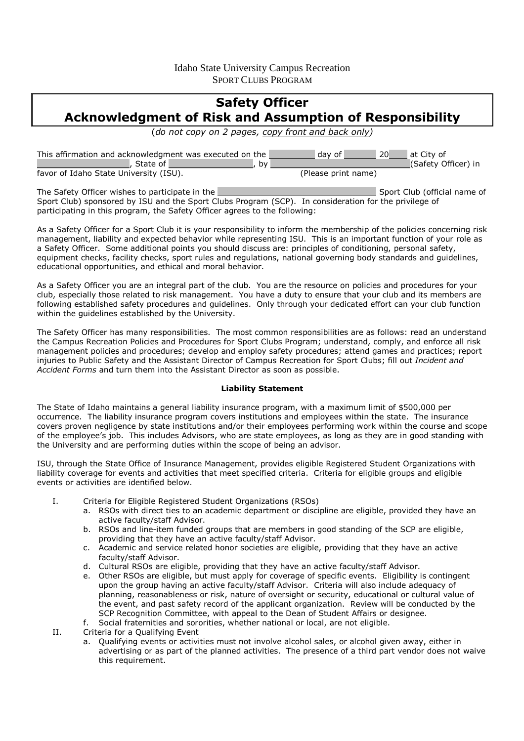## Idaho State University Campus Recreation SPORT CLUBS PROGRAM

# **Safety Officer Acknowledgment of Risk and Assumption of Responsibility**

(*do not copy on 2 pages, copy front and back only)* 

| This affirmation and acknowledgment was executed on the<br>. State of ' | 20<br>  at City of<br>dav of<br>(Safety Officer) in<br>. bv |
|-------------------------------------------------------------------------|-------------------------------------------------------------|
| favor of Idaho State University (ISU).                                  | (Please print name)                                         |
| The Cafety Officer wiches to participate in the                         | Coast Club (official name of                                |

The Safety Officer wishes to participate in the Sport Club (official name of Sport Club (official name of Sport Club) sponsored by ISU and the Sport Clubs Program (SCP). In consideration for the privilege of participating in this program, the Safety Officer agrees to the following:

As a Safety Officer for a Sport Club it is your responsibility to inform the membership of the policies concerning risk management, liability and expected behavior while representing ISU. This is an important function of your role as a Safety Officer. Some additional points you should discuss are: principles of conditioning, personal safety, equipment checks, facility checks, sport rules and regulations, national governing body standards and guidelines, educational opportunities, and ethical and moral behavior.

As a Safety Officer you are an integral part of the club. You are the resource on policies and procedures for your club, especially those related to risk management. You have a duty to ensure that your club and its members are following established safety procedures and guidelines. Only through your dedicated effort can your club function within the guidelines established by the University.

The Safety Officer has many responsibilities. The most common responsibilities are as follows: read an understand the Campus Recreation Policies and Procedures for Sport Clubs Program; understand, comply, and enforce all risk management policies and procedures; develop and employ safety procedures; attend games and practices; report injuries to Public Safety and the Assistant Director of Campus Recreation for Sport Clubs; fill out *Incident and Accident Forms* and turn them into the Assistant Director as soon as possible.

#### **Liability Statement**

The State of Idaho maintains a general liability insurance program, with a maximum limit of \$500,000 per occurrence. The liability insurance program covers institutions and employees within the state. The insurance covers proven negligence by state institutions and/or their employees performing work within the course and scope of the employee's job. This includes Advisors, who are state employees, as long as they are in good standing with the University and are performing duties within the scope of being an advisor.

ISU, through the State Office of Insurance Management, provides eligible Registered Student Organizations with liability coverage for events and activities that meet specified criteria. Criteria for eligible groups and eligible events or activities are identified below.

- I. Criteria for Eligible Registered Student Organizations (RSOs)
	- a. RSOs with direct ties to an academic department or discipline are eligible, provided they have an active faculty/staff Advisor.
	- b. RSOs and line-item funded groups that are members in good standing of the SCP are eligible, providing that they have an active faculty/staff Advisor.
	- c. Academic and service related honor societies are eligible, providing that they have an active faculty/staff Advisor.
	- d. Cultural RSOs are eligible, providing that they have an active faculty/staff Advisor.
	- e. Other RSOs are eligible, but must apply for coverage of specific events. Eligibility is contingent upon the group having an active faculty/staff Advisor. Criteria will also include adequacy of planning, reasonableness or risk, nature of oversight or security, educational or cultural value of the event, and past safety record of the applicant organization. Review will be conducted by the SCP Recognition Committee, with appeal to the Dean of Student Affairs or designee.
	- f. Social fraternities and sororities, whether national or local, are not eligible.

II. Criteria for a Qualifying Event

a. Qualifying events or activities must not involve alcohol sales, or alcohol given away, either in advertising or as part of the planned activities. The presence of a third part vendor does not waive this requirement.